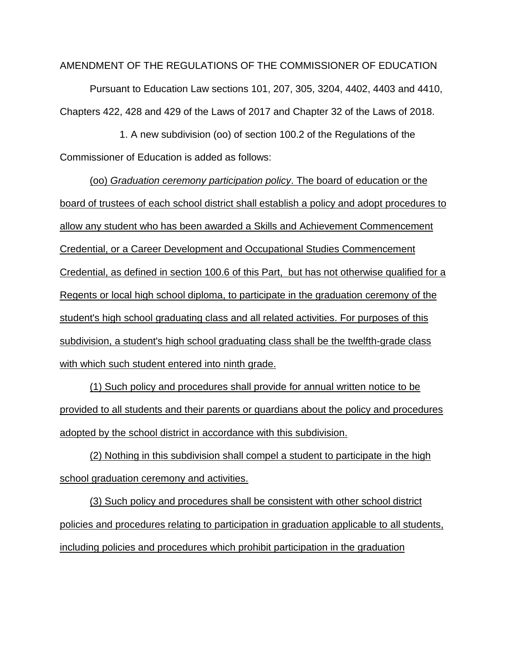AMENDMENT OF THE REGULATIONS OF THE COMMISSIONER OF EDUCATION

Pursuant to Education Law sections 101, 207, 305, 3204, 4402, 4403 and 4410, Chapters 422, 428 and 429 of the Laws of 2017 and Chapter 32 of the Laws of 2018.

1. A new subdivision (oo) of section 100.2 of the Regulations of the Commissioner of Education is added as follows:

(oo) *Graduation ceremony participation policy*. The board of education or the board of trustees of each school district shall establish a policy and adopt procedures to allow any student who has been awarded a Skills and Achievement Commencement Credential, or a Career Development and Occupational Studies Commencement Credential, as defined in section 100.6 of this Part, but has not otherwise qualified for a Regents or local high school diploma, to participate in the graduation ceremony of the student's high school graduating class and all related activities. For purposes of this subdivision, a student's high school graduating class shall be the twelfth-grade class with which such student entered into ninth grade.

(1) Such policy and procedures shall provide for annual written notice to be provided to all students and their parents or guardians about the policy and procedures adopted by the school district in accordance with this subdivision.

(2) Nothing in this subdivision shall compel a student to participate in the high school graduation ceremony and activities.

(3) Such policy and procedures shall be consistent with other school district policies and procedures relating to participation in graduation applicable to all students, including policies and procedures which prohibit participation in the graduation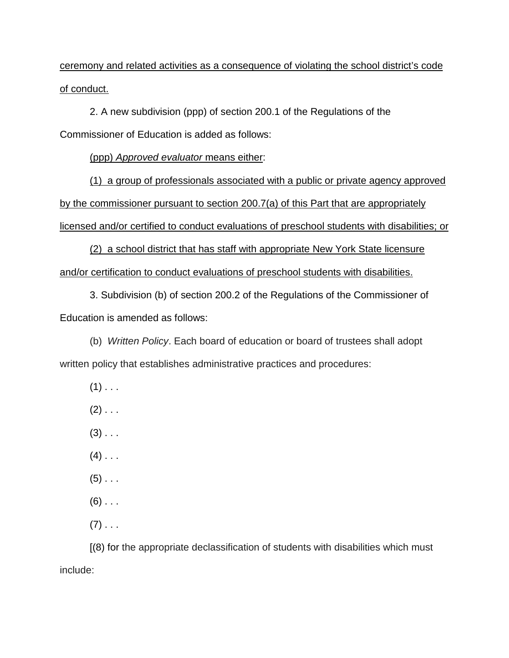ceremony and related activities as a consequence of violating the school district's code of conduct.

2. A new subdivision (ppp) of section 200.1 of the Regulations of the Commissioner of Education is added as follows:

(ppp) *Approved evaluator* means either:

(1) a group of professionals associated with a public or private agency approved by the commissioner pursuant to section 200.7(a) of this Part that are appropriately licensed and/or certified to conduct evaluations of preschool students with disabilities; or

(2) a school district that has staff with appropriate New York State licensure and/or certification to conduct evaluations of preschool students with disabilities.

3. Subdivision (b) of section 200.2 of the Regulations of the Commissioner of Education is amended as follows:

(b) *Written Policy*. Each board of education or board of trustees shall adopt written policy that establishes administrative practices and procedures:

- $(1)$  . . .
- $(2)$  . . .

 $(3)$  . . .

- $(4)$  . . .
- $(5)$  . . .
- $(6)$  . . .
- $(7)$  . . .

[(8) for the appropriate declassification of students with disabilities which must include: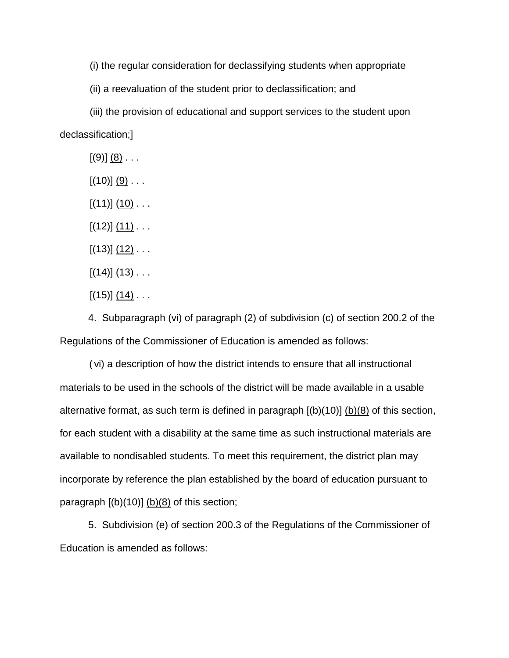(i) the regular consideration for declassifying students when appropriate

(ii) a reevaluation of the student prior to declassification; and

(iii) the provision of educational and support services to the student upon declassification;]

 $[(9)] (8) \ldots$ 

 $[(10)] (9)$ ...

 $[(11)]$   $(10)$  . . .

 $[(12)]$   $(11)$   $\ldots$ 

 $[(13)]$   $(12)$   $\ldots$ 

 $[(14)]$   $(13)$   $\ldots$ 

 $[(15)] (14) \ldots$ 

4. Subparagraph (vi) of paragraph (2) of subdivision (c) of section 200.2 of the Regulations of the Commissioner of Education is amended as follows:

(vi) a description of how the district intends to ensure that all instructional materials to be used in the schools of the district will be made available in a usable alternative format, as such term is defined in paragraph  $[(b)(10)]$   $(b)(8)$  of this section, for each student with a disability at the same time as such instructional materials are available to nondisabled students. To meet this requirement, the district plan may incorporate by reference the plan established by the board of education pursuant to paragraph  $[(b)(10)]$   $(b)(8)$  of this section;

5. Subdivision (e) of section 200.3 of the Regulations of the Commissioner of Education is amended as follows: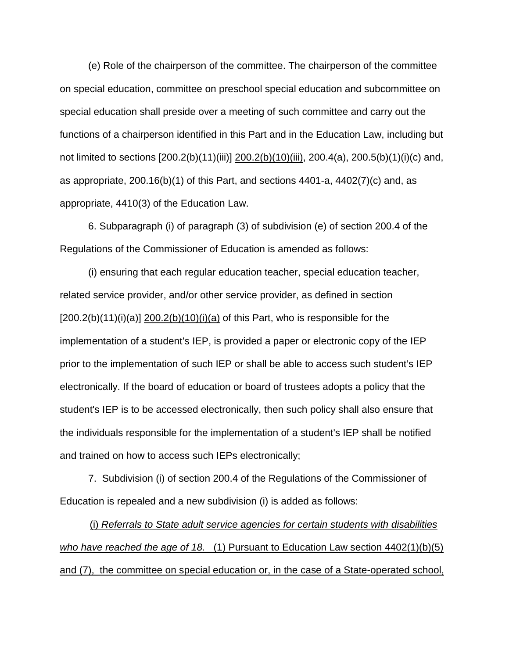(e) Role of the chairperson of the committee. The chairperson of the committee on special education, committee on preschool special education and subcommittee on special education shall preside over a meeting of such committee and carry out the functions of a chairperson identified in this Part and in the Education Law, including but not limited to sections [200.2(b)(11)(iii)] 200.2(b)(10)(iii), 200.4(a), 200.5(b)(1)(i)(c) and, as appropriate,  $200.16(b)(1)$  of this Part, and sections  $4401-a$ ,  $4402(7)(c)$  and, as appropriate, 4410(3) of the Education Law.

6. Subparagraph (i) of paragraph (3) of subdivision (e) of section 200.4 of the Regulations of the Commissioner of Education is amended as follows:

(i) ensuring that each regular education teacher, special education teacher, related service provider, and/or other service provider, as defined in section  $[200.2(b)(11)(i)(a)]$  200.2(b) $(10)(i)(a)$  of this Part, who is responsible for the implementation of a student's IEP, is provided a paper or electronic copy of the IEP prior to the implementation of such IEP or shall be able to access such student's IEP electronically. If the board of education or board of trustees adopts a policy that the student's IEP is to be accessed electronically, then such policy shall also ensure that the individuals responsible for the implementation of a student's IEP shall be notified and trained on how to access such IEPs electronically;

7. Subdivision (i) of section 200.4 of the Regulations of the Commissioner of Education is repealed and a new subdivision (i) is added as follows:

(i) *Referrals to State adult service agencies for certain students with disabilities who have reached the age of 18.* (1) Pursuant to Education Law section 4402(1)(b)(5) and (7), the committee on special education or, in the case of a State-operated school,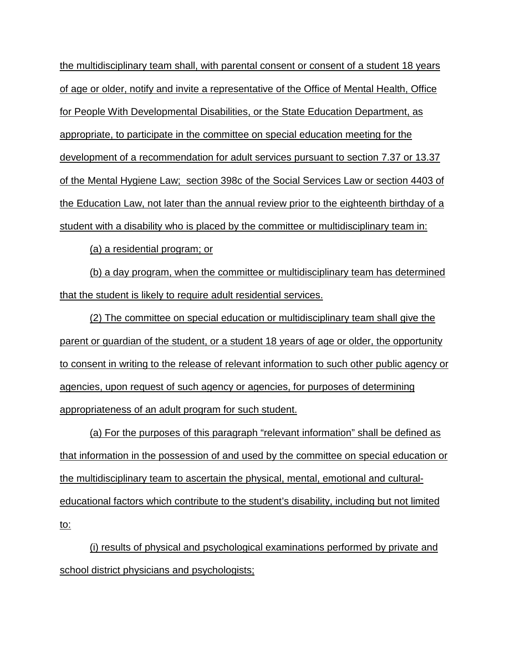the multidisciplinary team shall, with parental consent or consent of a student 18 years of age or older, notify and invite a representative of the Office of Mental Health, Office for People With Developmental Disabilities, or the State Education Department, as appropriate, to participate in the committee on special education meeting for the development of a recommendation for adult services pursuant to section 7.37 or 13.37 of the Mental Hygiene Law; section 398c of the Social Services Law or section 4403 of the Education Law, not later than the annual review prior to the eighteenth birthday of a student with a disability who is placed by the committee or multidisciplinary team in:

(a) a residential program; or

(b) a day program, when the committee or multidisciplinary team has determined that the student is likely to require adult residential services.

(2) The committee on special education or multidisciplinary team shall give the parent or guardian of the student, or a student 18 years of age or older, the opportunity to consent in writing to the release of relevant information to such other public agency or agencies, upon request of such agency or agencies, for purposes of determining appropriateness of an adult program for such student.

(a) For the purposes of this paragraph "relevant information" shall be defined as that information in the possession of and used by the committee on special education or the multidisciplinary team to ascertain the physical, mental, emotional and culturaleducational factors which contribute to the student's disability, including but not limited to:

(i) results of physical and psychological examinations performed by private and school district physicians and psychologists;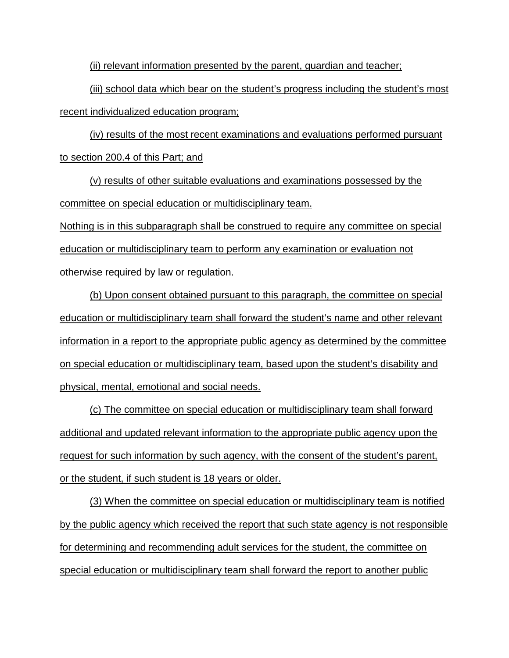(ii) relevant information presented by the parent, guardian and teacher;

(iii) school data which bear on the student's progress including the student's most recent individualized education program;

(iv) results of the most recent examinations and evaluations performed pursuant to section 200.4 of this Part; and

(v) results of other suitable evaluations and examinations possessed by the committee on special education or multidisciplinary team.

Nothing is in this subparagraph shall be construed to require any committee on special education or multidisciplinary team to perform any examination or evaluation not otherwise required by law or regulation.

(b) Upon consent obtained pursuant to this paragraph, the committee on special education or multidisciplinary team shall forward the student's name and other relevant information in a report to the appropriate public agency as determined by the committee on special education or multidisciplinary team, based upon the student's disability and physical, mental, emotional and social needs.

(c) The committee on special education or multidisciplinary team shall forward additional and updated relevant information to the appropriate public agency upon the request for such information by such agency, with the consent of the student's parent, or the student, if such student is 18 years or older.

(3) When the committee on special education or multidisciplinary team is notified by the public agency which received the report that such state agency is not responsible for determining and recommending adult services for the student, the committee on special education or multidisciplinary team shall forward the report to another public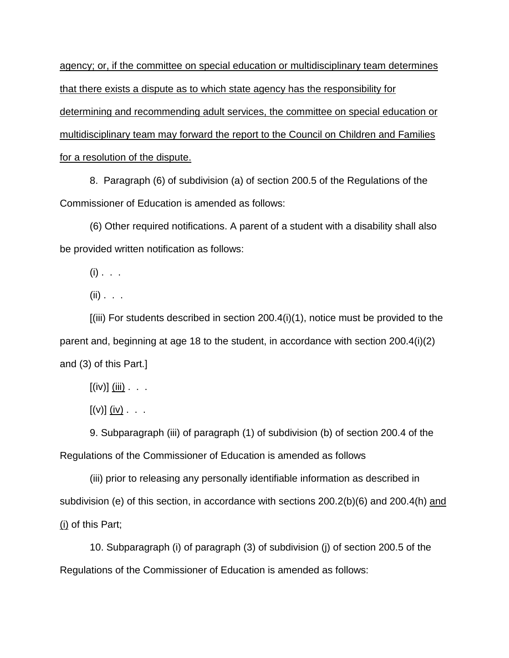agency; or, if the committee on special education or multidisciplinary team determines that there exists a dispute as to which state agency has the responsibility for determining and recommending adult services, the committee on special education or multidisciplinary team may forward the report to the Council on Children and Families for a resolution of the dispute.

8. Paragraph (6) of subdivision (a) of section 200.5 of the Regulations of the Commissioner of Education is amended as follows:

(6) Other required notifications. A parent of a student with a disability shall also be provided written notification as follows:

 $(i)$  . . .

 $(ii)$  . . .

[(iii) For students described in section 200.4(i)(1), notice must be provided to the parent and, beginning at age 18 to the student, in accordance with section 200.4(i)(2) and (3) of this Part.]

 $[(iv)]$  (iii) . . .

 $[(v)]$   $(iv)$  . . .

9. Subparagraph (iii) of paragraph (1) of subdivision (b) of section 200.4 of the Regulations of the Commissioner of Education is amended as follows

(iii) prior to releasing any personally identifiable information as described in subdivision (e) of this section, in accordance with sections 200.2(b)(6) and 200.4(h) and (i) of this Part;

10. Subparagraph (i) of paragraph (3) of subdivision (j) of section 200.5 of the Regulations of the Commissioner of Education is amended as follows: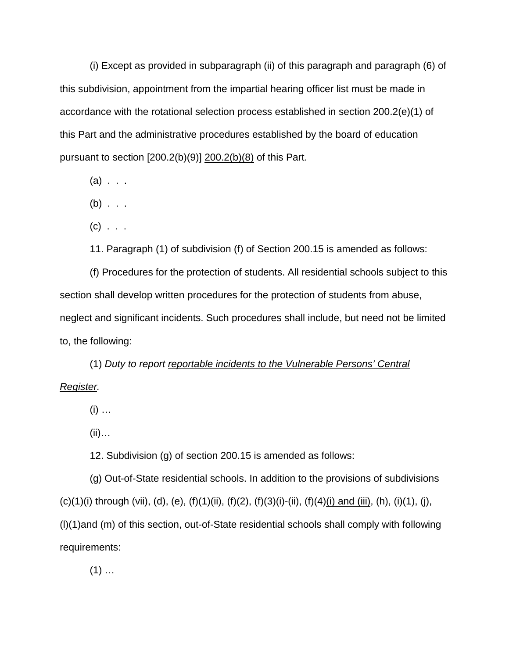(i) Except as provided in subparagraph (ii) of this paragraph and paragraph (6) of this subdivision, appointment from the impartial hearing officer list must be made in accordance with the rotational selection process established in section 200.2(e)(1) of this Part and the administrative procedures established by the board of education pursuant to section [200.2(b)(9)] 200.2(b)(8) of this Part.

- $(a)$  . . .
- $(b)$  . . .
- $(c)$  . . .

11. Paragraph (1) of subdivision (f) of Section 200.15 is amended as follows:

(f) Procedures for the protection of students. All residential schools subject to this section shall develop written procedures for the protection of students from abuse, neglect and significant incidents. Such procedures shall include, but need not be limited to, the following:

(1) *Duty to report reportable incidents to the Vulnerable Persons' Central Register.*

 $(i)$  ...

(ii)…

12. Subdivision (g) of section 200.15 is amended as follows:

(g) Out-of-State residential schools. In addition to the provisions of subdivisions (c)(1)(i) through (vii), (d), (e), (f)(1)(ii), (f)(2), (f)(3)(i)-(ii), (f)(4)(i) and (iii), (h), (i)(1), (j), (l)(1)and (m) of this section, out-of-State residential schools shall comply with following requirements:

 $(1)$  …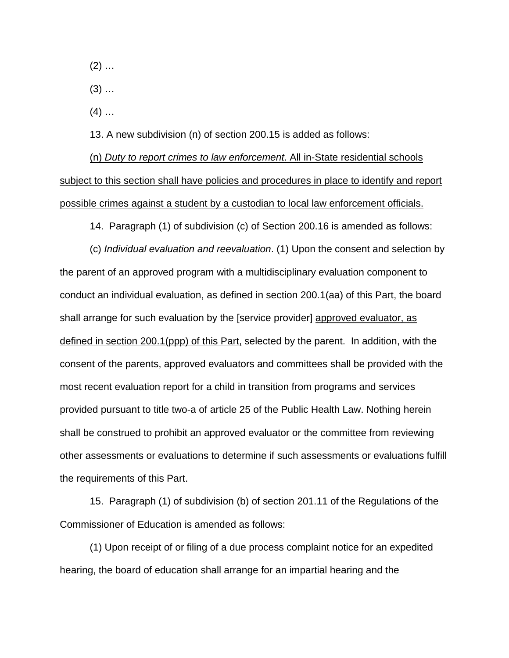$(2)$  ...

 $(3)$  ...

 $(4)$  …

13. A new subdivision (n) of section 200.15 is added as follows:

(n) *Duty to report crimes to law enforcement*. All in-State residential schools subject to this section shall have policies and procedures in place to identify and report possible crimes against a student by a custodian to local law enforcement officials.

14. Paragraph (1) of subdivision (c) of Section 200.16 is amended as follows:

(c) *Individual evaluation and reevaluation*. (1) Upon the consent and selection by the parent of an approved program with a multidisciplinary evaluation component to conduct an individual evaluation, as defined in section 200.1(aa) of this Part, the board shall arrange for such evaluation by the [service provider] approved evaluator, as defined in section 200.1(ppp) of this Part, selected by the parent. In addition, with the consent of the parents, approved evaluators and committees shall be provided with the most recent evaluation report for a child in transition from programs and services provided pursuant to title two-a of article 25 of the Public Health Law. Nothing herein shall be construed to prohibit an approved evaluator or the committee from reviewing other assessments or evaluations to determine if such assessments or evaluations fulfill the requirements of this Part.

15. Paragraph (1) of subdivision (b) of section 201.11 of the Regulations of the Commissioner of Education is amended as follows:

(1) Upon receipt of or filing of a due process complaint notice for an expedited hearing, the board of education shall arrange for an impartial hearing and the